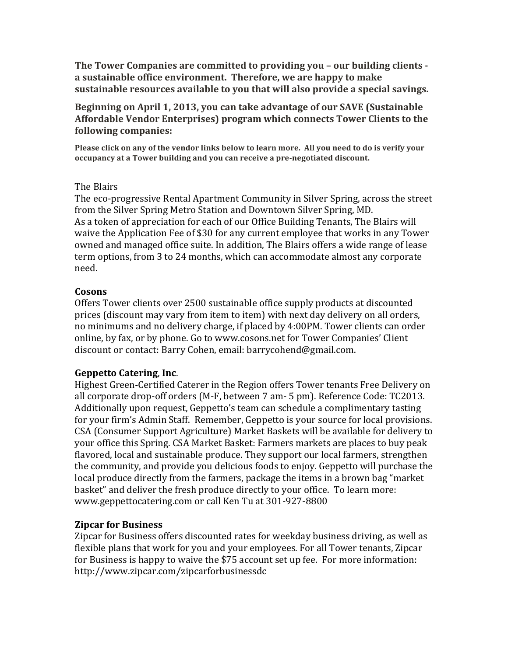The Tower Companies are committed to providing you - our building clients a sustainable office environment. Therefore, we are happy to make sustainable resources available to you that will also provide a special savings.

Beginning on April 1, 2013, you can take advantage of our SAVE (Sustainable Affordable Vendor Enterprises) program which connects Tower Clients to the following companies:

Please click on any of the vendor links below to learn more. All you need to do is verify your occupancy at a Tower building and you can receive a pre-negotiated discount.

### The Blairs

The eco-progressive Rental Apartment Community in Silver Spring, across the street from the Silver Spring Metro Station and Downtown Silver Spring, MD. As a token of appreciation for each of our Office Building Tenants, The Blairs will waive the Application Fee of \$30 for any current employee that works in any Tower owned and managed office suite. In addition, The Blairs offers a wide range of lease term options, from 3 to 24 months, which can accommodate almost any corporate need.

## **Cosons**

Offers Tower clients over 2500 sustainable office supply products at discounted prices (discount may vary from item to item) with next day delivery on all orders, no minimums and no delivery charge, if placed by 4:00PM. Tower clients can order online, by fax, or by phone. Go to www.cosons.net for Tower Companies' Client discount or contact: Barry Cohen, email: barrycohend@gmail.com.

# **Geppetto Catering, Inc.**

Highest Green-Certified Caterer in the Region offers Tower tenants Free Delivery on all corporate drop-off orders (M-F, between 7 am- 5 pm). Reference Code: TC2013. Additionally upon request, Geppetto's team can schedule a complimentary tasting for your firm's Admin Staff. Remember, Geppetto is your source for local provisions. CSA (Consumer Support Agriculture) Market Baskets will be available for delivery to your office this Spring. CSA Market Basket: Farmers markets are places to buy peak flavored, local and sustainable produce. They support our local farmers, strengthen the community, and provide you delicious foods to enjoy. Geppetto will purchase the local produce directly from the farmers, package the items in a brown bag "market" basket" and deliver the fresh produce directly to your office. To learn more: www.geppettocatering.com or call Ken Tu at 301-927-8800

# **Zipcar for Business**

Zipcar for Business offers discounted rates for weekday business driving, as well as flexible plans that work for you and your employees. For all Tower tenants, Zipcar for Business is happy to waive the \$75 account set up fee. For more information: http://www.zipcar.com/zipcarforbusinessdc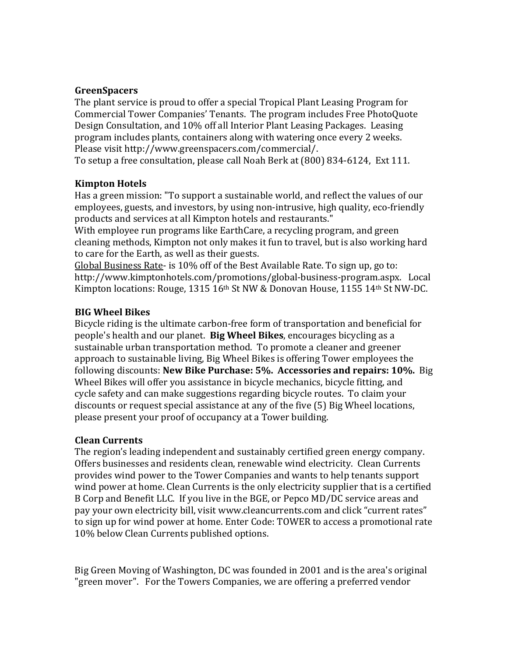### **GreenSpacers\$**

The plant service is proud to offer a special Tropical Plant Leasing Program for Commercial Tower Companies' Tenants. The program includes Free PhotoQuote Design Consultation, and 10% off all Interior Plant Leasing Packages. Leasing program includes plants, containers along with watering once every 2 weeks. Please visit http://www.greenspacers.com/commercial/.

To setup a free consultation, please call Noah Berk at (800) 834-6124, Ext 111.

### **Kimpton Hotels**

Has a green mission: "To support a sustainable world, and reflect the values of our employees, guests, and investors, by using non-intrusive, high quality, eco-friendly products and services at all Kimpton hotels and restaurants."

With employee run programs like EarthCare, a recycling program, and green cleaning methods, Kimpton not only makes it fun to travel, but is also working hard to care for the Earth, as well as their guests.

Global Business Rate- is 10% off of the Best Available Rate. To sign up, go to: http://www.kimptonhotels.com/promotions/global-business-program.aspx. Local! Kimpton locations: Rouge, 1315 16th St NW & Donovan House, 1155 14th St NW-DC.

### **BIG Wheel Bikes**

Bicycle riding is the ultimate carbon-free form of transportation and beneficial for people's health and our planet. **Big Wheel Bikes**, encourages bicycling as a sustainable urban transportation method. To promote a cleaner and greener approach to sustainable living, Big Wheel Bikes is offering Tower employees the following discounts: **New Bike Purchase: 5%. Accessories and repairs: 10%.** Big Wheel Bikes will offer you assistance in bicycle mechanics, bicycle fitting, and cycle safety and can make suggestions regarding bicycle routes. To claim your discounts or request special assistance at any of the five (5) Big Wheel locations, please present your proof of occupancy at a Tower building.

### **Clean\$Currents**

The region's leading independent and sustainably certified green energy company. Offers businesses and residents clean, renewable wind electricity. Clean Currents provides wind power to the Tower Companies and wants to help tenants support wind power at home. Clean Currents is the only electricity supplier that is a certified B Corp and Benefit LLC. If you live in the BGE, or Pepco MD/DC service areas and pay your own electricity bill, visit www.cleancurrents.com and click "current rates" to sign up for wind power at home. Enter Code: TOWER to access a promotional rate 10% below Clean Currents published options.

Big Green Moving of Washington, DC was founded in 2001 and is the area's original "green mover". For the Towers Companies, we are offering a preferred vendor